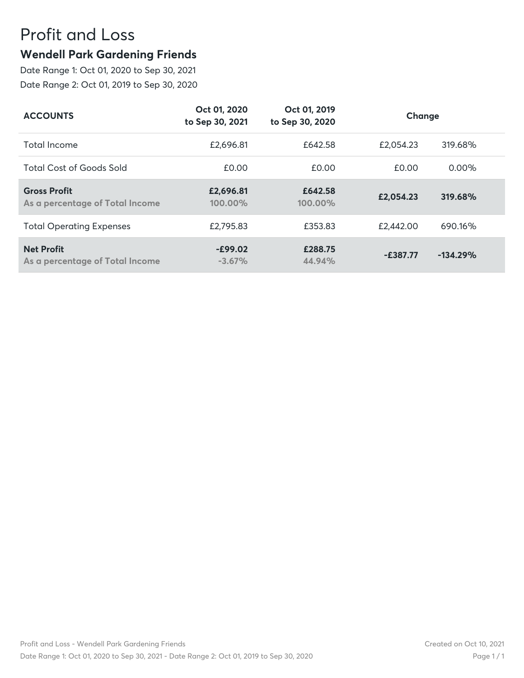## Profit and Loss

## **Wendell Park Gardening Friends**

Date Range 1: Oct 01, 2020 to Sep 30, 2021 Date Range 2: Oct 01, 2019 to Sep 30, 2020

| <b>ACCOUNTS</b>                                        | Oct 01, 2020<br>to Sep 30, 2021 | Oct 01, 2019<br>to Sep 30, 2020 | Change     |            |
|--------------------------------------------------------|---------------------------------|---------------------------------|------------|------------|
| Total Income                                           | £2,696.81                       | £642.58                         | £2,054.23  | 319.68%    |
| <b>Total Cost of Goods Sold</b>                        | £0.00                           | £0.00                           | £0.00      | $0.00\%$   |
| <b>Gross Profit</b><br>As a percentage of Total Income | £2,696.81<br>100.00%            | £642.58<br>100.00%              | £2,054.23  | 319.68%    |
| <b>Total Operating Expenses</b>                        | £2,795.83                       | £353.83                         | £2,442.00  | 690.16%    |
| <b>Net Profit</b><br>As a percentage of Total Income   | $-E99.02$<br>$-3.67%$           | £288.75<br>44.94%               | $-E387.77$ | $-134.29%$ |